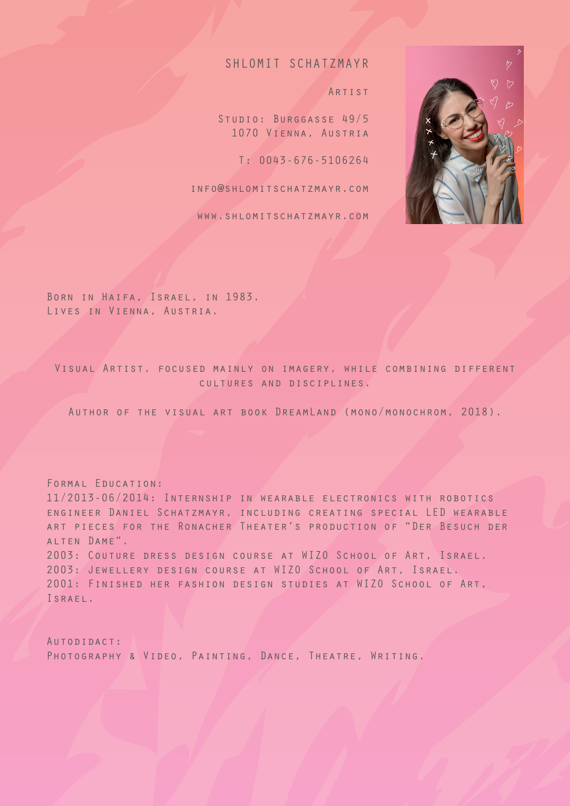## SHLOMIT SCHATZMAYR

Artist

STUDIO: BURGGASSE 49/5 1070 Vienna, Austria

T: 0043-676-5106264

info@shlomitschatzmayr.com

www.shlomitschatzmayr.com



Born in Haifa, Israel, in 1983. Lives in Vienna, Austria.

Visual Artist, focused mainly on imagery, while combining different cultures and disciplines.

Author of the visual art book DreamLand (mono/monochrom, 2018).

Formal Education:

11/2013-06/2014: Internship in wearable electronics with robotics engineer Daniel Schatzmayr, including creating special LED wearable art pieces for the Ronacher Theater's production of "Der Besuch der alten Dame". 2003: Couture dress design course at WIZO School of Art, Israel. 2003: Jewellery design course at WIZO School of Art, Israel. 2001: Finished her fashion design studies at WIZO School of Art, Israel.

Autodidact: PHOTOGRAPHY & VIDEO, PAINTING, DANCE, THEATRE, WRITING.